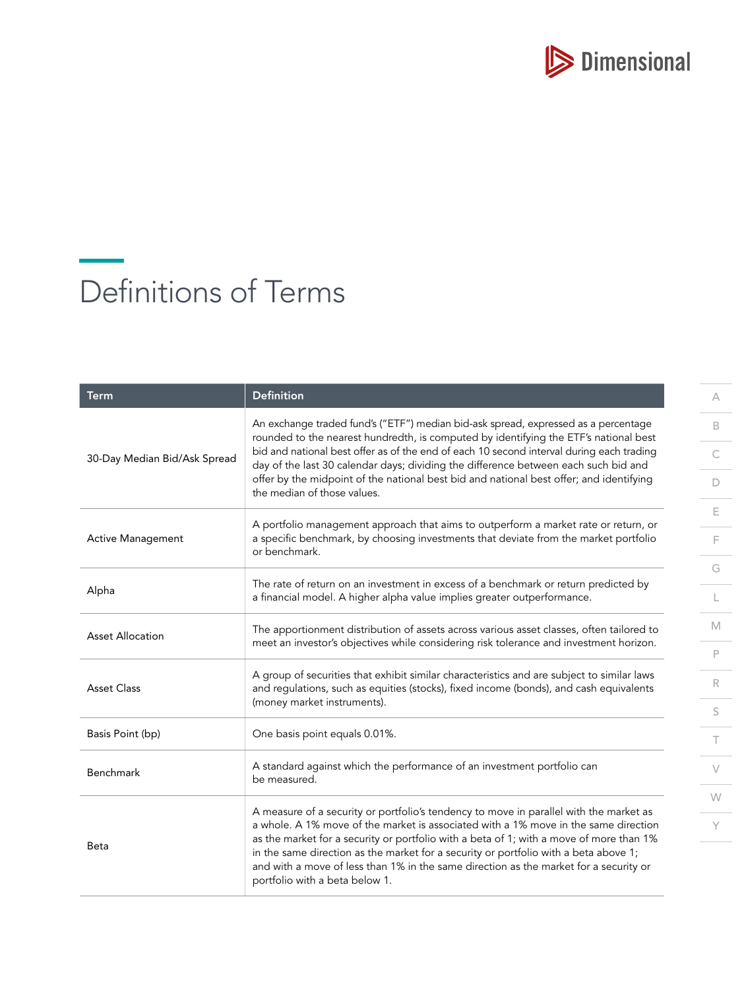

## <span id="page-0-0"></span>Definitions of Terms

| <b>Term</b>                  | <b>Definition</b>                                                                                                                                                                                                                                                                                                                                                                                                                                                                           |
|------------------------------|---------------------------------------------------------------------------------------------------------------------------------------------------------------------------------------------------------------------------------------------------------------------------------------------------------------------------------------------------------------------------------------------------------------------------------------------------------------------------------------------|
| 30-Day Median Bid/Ask Spread | An exchange traded fund's ("ETF") median bid-ask spread, expressed as a percentage<br>rounded to the nearest hundredth, is computed by identifying the ETF's national best<br>bid and national best offer as of the end of each 10 second interval during each trading<br>day of the last 30 calendar days; dividing the difference between each such bid and<br>offer by the midpoint of the national best bid and national best offer; and identifying<br>the median of those values.     |
| <b>Active Management</b>     | A portfolio management approach that aims to outperform a market rate or return, or<br>a specific benchmark, by choosing investments that deviate from the market portfolio<br>or benchmark.                                                                                                                                                                                                                                                                                                |
| Alpha                        | The rate of return on an investment in excess of a benchmark or return predicted by<br>a financial model. A higher alpha value implies greater outperformance.                                                                                                                                                                                                                                                                                                                              |
| <b>Asset Allocation</b>      | The apportionment distribution of assets across various asset classes, often tailored to<br>meet an investor's objectives while considering risk tolerance and investment horizon.                                                                                                                                                                                                                                                                                                          |
| <b>Asset Class</b>           | A group of securities that exhibit similar characteristics and are subject to similar laws<br>and regulations, such as equities (stocks), fixed income (bonds), and cash equivalents<br>(money market instruments).                                                                                                                                                                                                                                                                         |
| Basis Point (bp)             | One basis point equals 0.01%.                                                                                                                                                                                                                                                                                                                                                                                                                                                               |
| Benchmark                    | A standard against which the performance of an investment portfolio can<br>be measured.                                                                                                                                                                                                                                                                                                                                                                                                     |
| Beta                         | A measure of a security or portfolio's tendency to move in parallel with the market as<br>a whole. A 1% move of the market is associated with a 1% move in the same direction<br>as the market for a security or portfolio with a beta of 1; with a move of more than 1%<br>in the same direction as the market for a security or portfolio with a beta above 1;<br>and with a move of less than 1% in the same direction as the market for a security or<br>portfolio with a beta below 1. |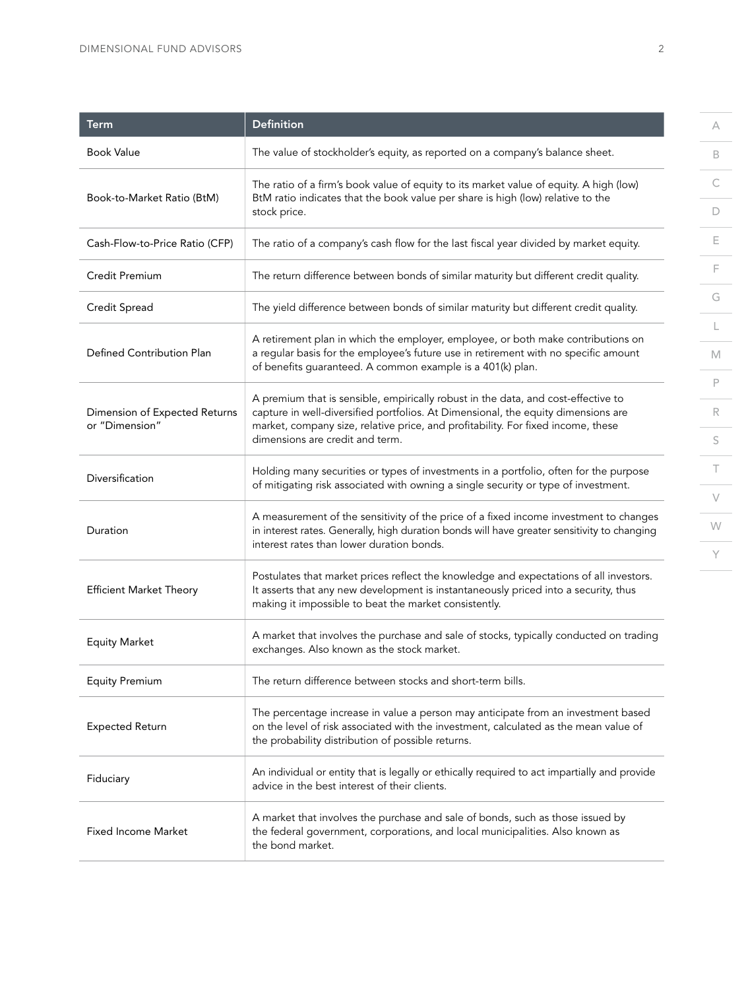<span id="page-1-0"></span>

| <b>Term</b>                                     | <b>Definition</b>                                                                                                                                                                                                                                                                             |
|-------------------------------------------------|-----------------------------------------------------------------------------------------------------------------------------------------------------------------------------------------------------------------------------------------------------------------------------------------------|
| Book Value                                      | The value of stockholder's equity, as reported on a company's balance sheet.                                                                                                                                                                                                                  |
| Book-to-Market Ratio (BtM)                      | The ratio of a firm's book value of equity to its market value of equity. A high (low)<br>BtM ratio indicates that the book value per share is high (low) relative to the<br>stock price.                                                                                                     |
| Cash-Flow-to-Price Ratio (CFP)                  | The ratio of a company's cash flow for the last fiscal year divided by market equity.                                                                                                                                                                                                         |
| Credit Premium                                  | The return difference between bonds of similar maturity but different credit quality.                                                                                                                                                                                                         |
| Credit Spread                                   | The yield difference between bonds of similar maturity but different credit quality.                                                                                                                                                                                                          |
| Defined Contribution Plan                       | A retirement plan in which the employer, employee, or both make contributions on<br>a regular basis for the employee's future use in retirement with no specific amount<br>of benefits guaranteed. A common example is a 401(k) plan.                                                         |
| Dimension of Expected Returns<br>or "Dimension" | A premium that is sensible, empirically robust in the data, and cost-effective to<br>capture in well-diversified portfolios. At Dimensional, the equity dimensions are<br>market, company size, relative price, and profitability. For fixed income, these<br>dimensions are credit and term. |
| Diversification                                 | Holding many securities or types of investments in a portfolio, often for the purpose<br>of mitigating risk associated with owning a single security or type of investment.                                                                                                                   |
| Duration                                        | A measurement of the sensitivity of the price of a fixed income investment to changes<br>in interest rates. Generally, high duration bonds will have greater sensitivity to changing<br>interest rates than lower duration bonds.                                                             |
| <b>Efficient Market Theory</b>                  | Postulates that market prices reflect the knowledge and expectations of all investors.<br>It asserts that any new development is instantaneously priced into a security, thus<br>making it impossible to beat the market consistently.                                                        |
| <b>Equity Market</b>                            | A market that involves the purchase and sale of stocks, typically conducted on trading<br>exchanges. Also known as the stock market.                                                                                                                                                          |
| <b>Equity Premium</b>                           | The return difference between stocks and short-term bills.                                                                                                                                                                                                                                    |
| <b>Expected Return</b>                          | The percentage increase in value a person may anticipate from an investment based<br>on the level of risk associated with the investment, calculated as the mean value of<br>the probability distribution of possible returns.                                                                |
| Fiduciary                                       | An individual or entity that is legally or ethically required to act impartially and provide<br>advice in the best interest of their clients.                                                                                                                                                 |
| <b>Fixed Income Market</b>                      | A market that involves the purchase and sale of bonds, such as those issued by<br>the federal government, corporations, and local municipalities. Also known as<br>the bond market.                                                                                                           |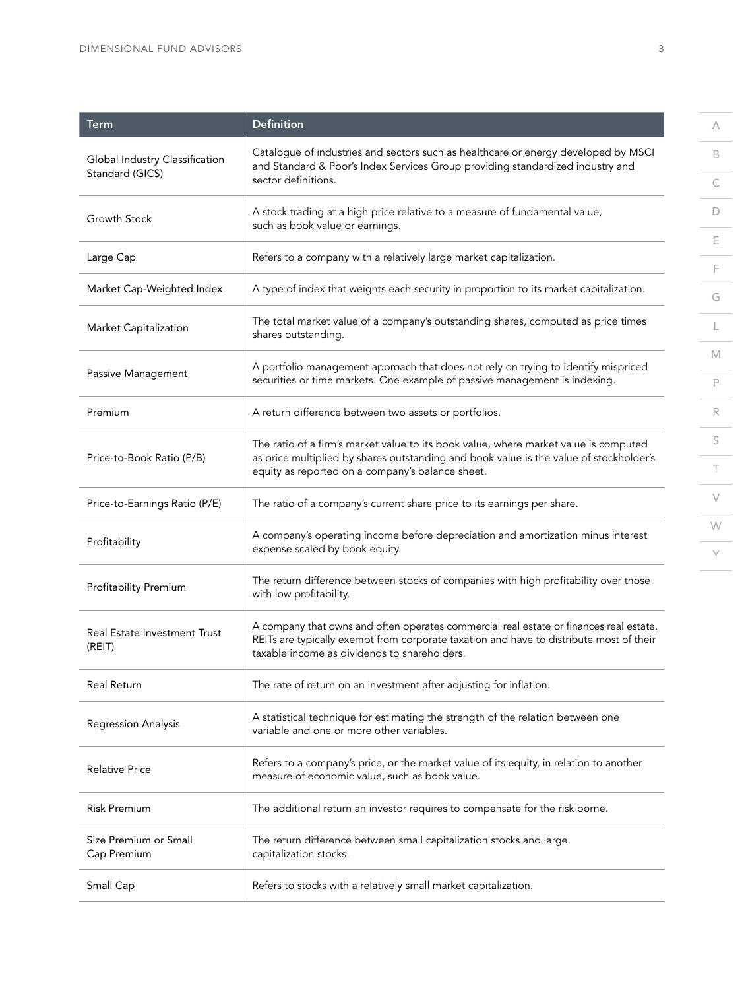<span id="page-2-0"></span>

| <b>Term</b>                                       | <b>Definition</b>                                                                                                                                                                                                                  |
|---------------------------------------------------|------------------------------------------------------------------------------------------------------------------------------------------------------------------------------------------------------------------------------------|
| Global Industry Classification<br>Standard (GICS) | Catalogue of industries and sectors such as healthcare or energy developed by MSCI<br>and Standard & Poor's Index Services Group providing standardized industry and<br>sector definitions.                                        |
| <b>Growth Stock</b>                               | A stock trading at a high price relative to a measure of fundamental value,<br>such as book value or earnings.                                                                                                                     |
| Large Cap                                         | Refers to a company with a relatively large market capitalization.                                                                                                                                                                 |
| Market Cap-Weighted Index                         | A type of index that weights each security in proportion to its market capitalization.                                                                                                                                             |
| Market Capitalization                             | The total market value of a company's outstanding shares, computed as price times<br>shares outstanding.                                                                                                                           |
| Passive Management                                | A portfolio management approach that does not rely on trying to identify mispriced<br>securities or time markets. One example of passive management is indexing.                                                                   |
| Premium                                           | A return difference between two assets or portfolios.                                                                                                                                                                              |
| Price-to-Book Ratio (P/B)                         | The ratio of a firm's market value to its book value, where market value is computed<br>as price multiplied by shares outstanding and book value is the value of stockholder's<br>equity as reported on a company's balance sheet. |
| Price-to-Earnings Ratio (P/E)                     | The ratio of a company's current share price to its earnings per share.                                                                                                                                                            |
| Profitability                                     | A company's operating income before depreciation and amortization minus interest<br>expense scaled by book equity.                                                                                                                 |
| Profitability Premium                             | The return difference between stocks of companies with high profitability over those<br>with low profitability.                                                                                                                    |
| Real Estate Investment Trust<br>(REIT)            | A company that owns and often operates commercial real estate or finances real estate.<br>REITs are typically exempt from corporate taxation and have to distribute most of their<br>taxable income as dividends to shareholders.  |
| Real Return                                       | The rate of return on an investment after adjusting for inflation.                                                                                                                                                                 |
| Regression Analysis                               | A statistical technique for estimating the strength of the relation between one<br>variable and one or more other variables.                                                                                                       |
| <b>Relative Price</b>                             | Refers to a company's price, or the market value of its equity, in relation to another<br>measure of economic value, such as book value.                                                                                           |
| <b>Risk Premium</b>                               | The additional return an investor requires to compensate for the risk borne.                                                                                                                                                       |
| Size Premium or Small<br>Cap Premium              | The return difference between small capitalization stocks and large<br>capitalization stocks.                                                                                                                                      |
| Small Cap                                         | Refers to stocks with a relatively small market capitalization.                                                                                                                                                                    |

[A](#page-0-0)

B

 $\subset$ 

 $\Box$ 

E

F

[G](#page-1-0)

L

M

P

R

S

 $\top$ 

V

[W](#page-3-0)

Y